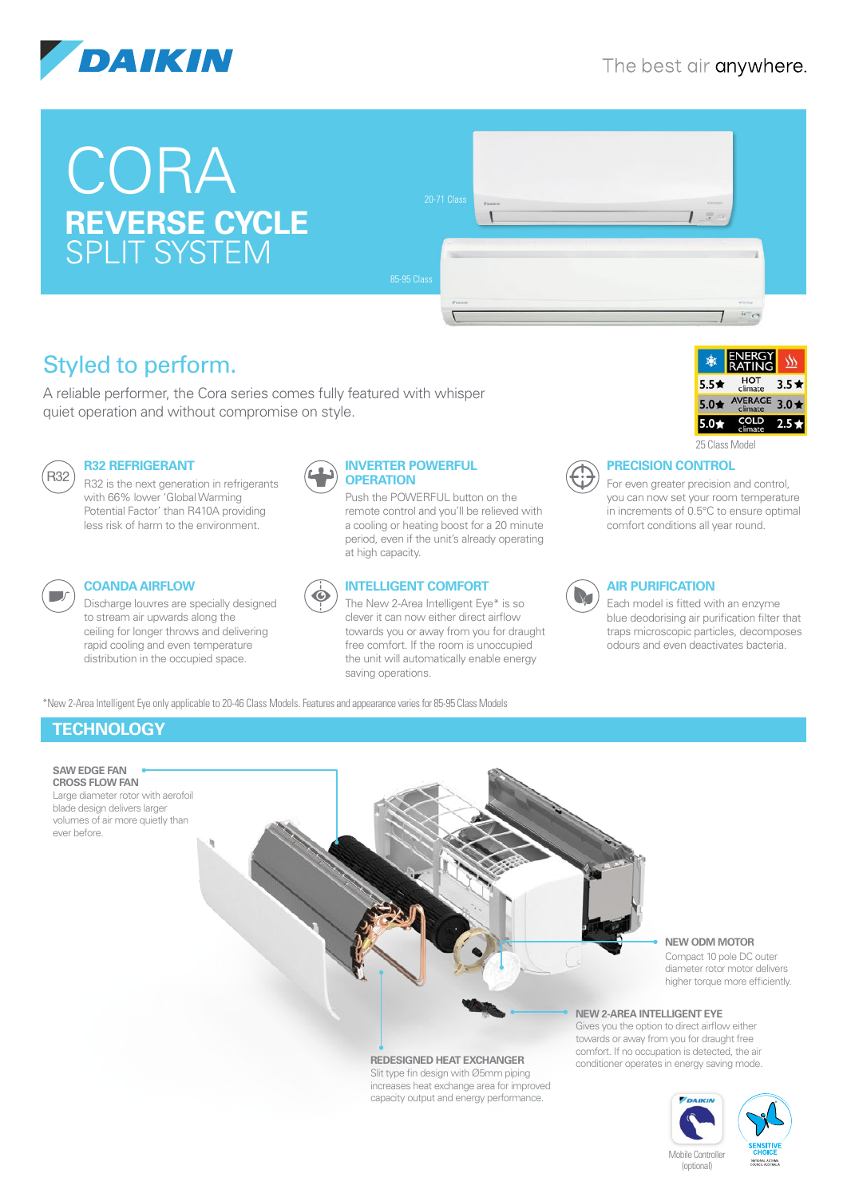

# **CORA REVERSE CYCLE** SPLIT SYSTEM



# Styled to perform.

A reliable performer, the Cora series comes fully featured with whisper quiet operation and without compromise on style.



#### **R32 REFRIGERANT**

R32 is the next generation in refrigerants with 66% lower 'Global Warming Potential Factor' than R410A providing less risk of harm to the environment.



## **COANDA AIRFLOW**

Discharge louvres are specially designed to stream air upwards along the ceiling for longer throws and delivering rapid cooling and even temperature distribution in the occupied space.



Push the POWERFUL button on the remote control and you'll be relieved with a cooling or heating boost for a 20 minute period, even if the unit's already operating at high capacity.



#### **INTELLIGENT COMFORT**

The New 2-Area Intelligent Eye\* is so clever it can now either direct airflow towards you or away from you for draught free comfort. If the room is unoccupied the unit will automatically enable energy saving operations.

\*New 2-Area Intelligent Eye only applicable to 20-46 Class Models. Features and appearance varies for 85-95 Class Models



25 Class Model



#### **PRECISION CONTROL**

For even greater precision and control, you can now set your room temperature in increments of 0.5°C to ensure optimal comfort conditions all year round.



#### **AIR PURIFICATION**

Each model is fitted with an enzyme blue deodorising air purification filter that traps microscopic particles, decomposes odours and even deactivates bacteria.

# **TECHNOLOGY**

ever before.



**NEW ODM MOTOR**

Compact 10 pole DC outer diameter rotor motor delivers higher torque more efficiently.

#### **NEW 2-AREA INTELLIGENT EYE**

Gives you the option to direct airflow either towards or away from you for draught free comfort. If no occupation is detected, the air conditioner operates in energy saving mode.